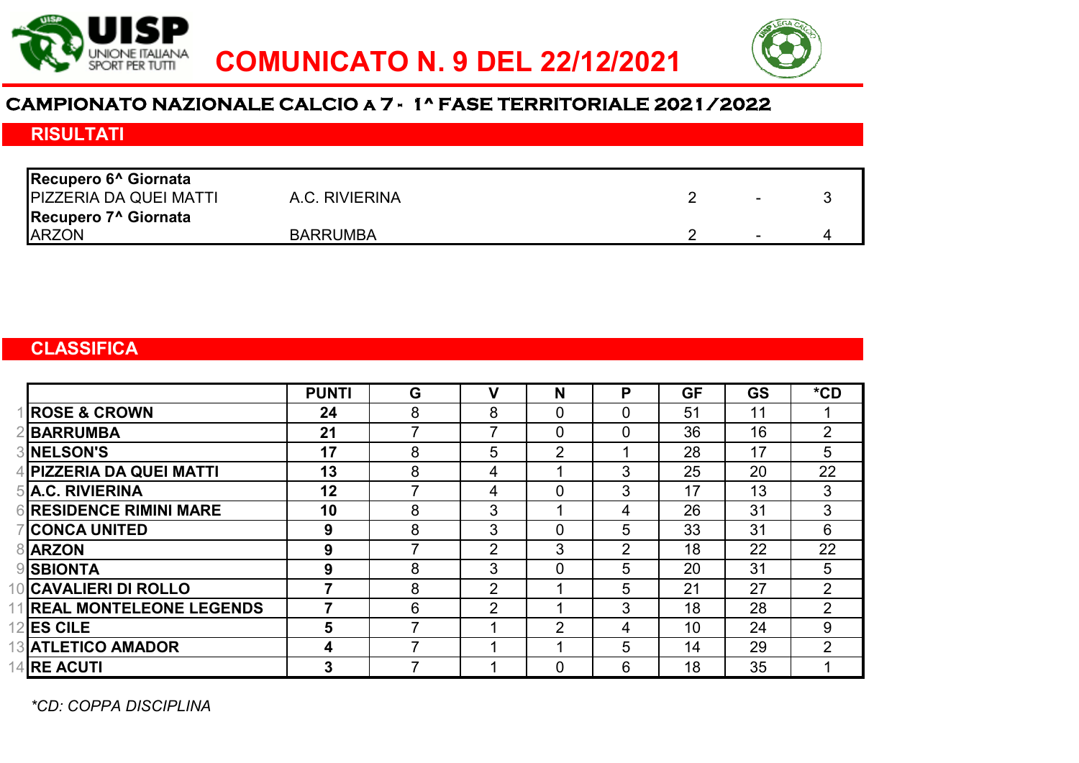



# **CAMPIONATO NAZIONALE CALCIO a 7 - 1^ FASE TERRITORIALE 2021/2022**

# RISULTATI

| Recupero 6 <sup>^</sup> Giornata |                 |                          |  |
|----------------------------------|-----------------|--------------------------|--|
| <b>PIZZERIA DA QUEI MATTI</b>    | A.C. RIVIERINA  | $\overline{\phantom{0}}$ |  |
| Recupero 7 <sup>^</sup> Giornata |                 |                          |  |
| <b>ARZON</b>                     | <b>BARRUMBA</b> | -                        |  |

### **CLASSIFICA**

|                                | <b>PUNTI</b> | G | v              | N              | P              | <b>GF</b> | <b>GS</b> | $*$ CD         |
|--------------------------------|--------------|---|----------------|----------------|----------------|-----------|-----------|----------------|
| <b>ROSE &amp; CROWN</b>        | 24           | 8 | 8              | 0              | $\overline{0}$ | 51        | 11        |                |
| <b>BARRUMBA</b>                | 21           |   | 7              | $\overline{0}$ | $\overline{0}$ | 36        | 16        | $\overline{2}$ |
| <b>3INELSON'S</b>              | 17           | 8 | 5              | $\overline{2}$ |                | 28        | 17        | 5              |
| 4 PIZZERIA DA QUEI MATTI       | 13           | 8 | 4              |                | 3              | 25        | 20        | 22             |
| 5 A.C. RIVIERINA               | 12           |   | 4              | $\mathbf 0$    | 3              | 17        | 13        | 3              |
| <b>6 RESIDENCE RIMINI MARE</b> | 10           | 8 | 3              |                | 4              | 26        | 31        | 3              |
| <b>CONCA UNITED</b>            | 9            | 8 | 3              | $\mathbf 0$    | 5              | 33        | 31        | 6              |
| <b>8</b> ARZON                 | 9            |   | $\overline{2}$ | 3              | $\overline{2}$ | 18        | 22        | 22             |
| <b>9</b> SBIONTA               | 9            | 8 | 3              | $\overline{0}$ | 5              | 20        | 31        | 5              |
| 10 CAVALIERI DI ROLLO          |              | 8 | $\overline{2}$ |                | 5              | 21        | 27        | $\overline{2}$ |
| 11 REAL MONTELEONE LEGENDS     |              | 6 | $\overline{2}$ |                | 3              | 18        | 28        | $\overline{2}$ |
| 12 ES CILE                     | 5            |   |                | $\overline{2}$ | 4              | 10        | 24        | 9              |
| <b>13 ATLETICO AMADOR</b>      | 4            |   |                |                | 5              | 14        | 29        | $\overline{2}$ |
| 14 RE ACUTI                    | 3            |   |                | 0              | 6              | 18        | 35        |                |

*\*CD: COPPA DISCIPLINA*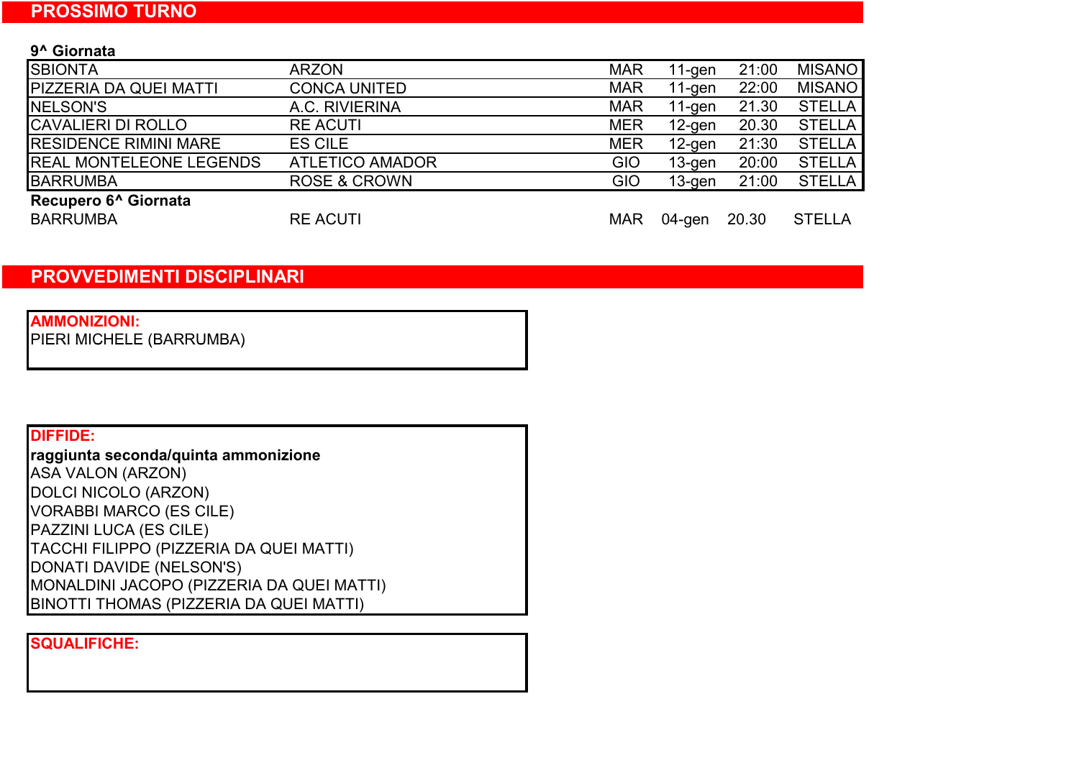9^ Giornata

| <b>ARZON</b>            | <b>MAR</b> | $11-gen$  | 21:00 | <b>MISANO</b> |
|-------------------------|------------|-----------|-------|---------------|
| <b>CONCA UNITED</b>     | <b>MAR</b> | $11-gen$  | 22:00 | <b>MISANO</b> |
| A.C. RIVIERINA          | <b>MAR</b> | $11-gen$  | 21.30 | <b>STELLA</b> |
| <b>RE ACUTI</b>         | <b>MER</b> | $12$ -gen | 20.30 | <b>STELLA</b> |
| <b>ES CILE</b>          | <b>MER</b> | $12$ -gen | 21:30 | <b>STELLA</b> |
| <b>ATLETICO AMADOR</b>  | <b>GIO</b> | $13$ -gen | 20:00 | <b>STELLA</b> |
| <b>ROSE &amp; CROWN</b> | GIO        | $13$ -gen | 21:00 | <b>STELLA</b> |
|                         |            |           |       |               |
| <b>RE ACUTI</b>         | <b>MAR</b> | 04-gen    | 20.30 | <b>STELLA</b> |
|                         |            |           |       |               |

### PROVVEDIMENTI DISCIPLINARI

### AMMONIZIONI:

PIERI MICHELE (BARRUMBA)

### DIFFIDE:

raggiunta seconda/quinta ammonizione DOLCI NICOLO (ARZON) VORABBI MARCO (ES CILE) PAZZINI LUCA (ES CILE) TACCHI FILIPPO (PIZZERIA DA QUEI MATTI) DONATI DAVIDE (NELSON'S) MONALDINI JACOPO (PIZZERIA DA QUEI MATTI) BINOTTI THOMAS (PIZZERIA DA QUEI MATTI) ASA VALON (ARZON)

#### SQUALIFICHE: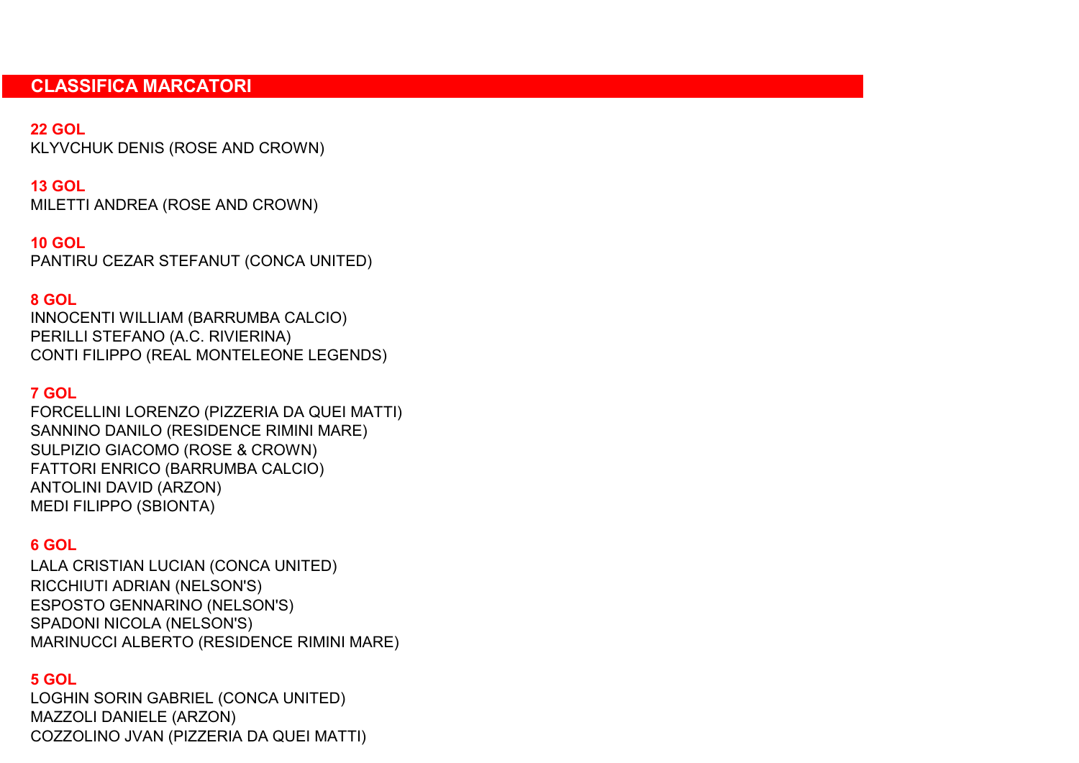### CLASSIFICA MARCATORI

### 22 GOL

KLYVCHUK DENIS (ROSE AND CROWN)

## 13 GOL

MILETTI ANDREA (ROSE AND CROWN)

### 10 GOL

PANTIRU CEZAR STEFANUT (CONCA UNITED)

### 8 GOL

INNOCENTI WILLIAM (BARRUMBA CALCIO) PERILLI STEFANO (A.C. RIVIERINA) CONTI FILIPPO (REAL MONTELEONE LEGENDS)

## 7 GOL

SULPIZIO GIACOMO (ROSE & CROWN) MEDI FILIPPO (SBIONTA) ANTOLINI DAVID (ARZON) FORCELLINI LORENZO (PIZZERIA DA QUEI MATTI) FATTORI ENRICO (BARRUMBA CALCIO) SANNINO DANILO (RESIDENCE RIMINI MARE)

# 6 GOL

RICCHIUTI ADRIAN (NELSON'S) ESPOSTO GENNARINO (NELSON'S) SPADONI NICOLA (NELSON'S) MARINUCCI ALBERTO (RESIDENCE RIMINI MARE) LALA CRISTIAN LUCIAN (CONCA UNITED)

### 5 GOL

LOGHIN SORIN GABRIEL (CONCA UNITED) COZZOLINO JVAN (PIZZERIA DA QUEI MATTI) MAZZOLI DANIELE (ARZON)